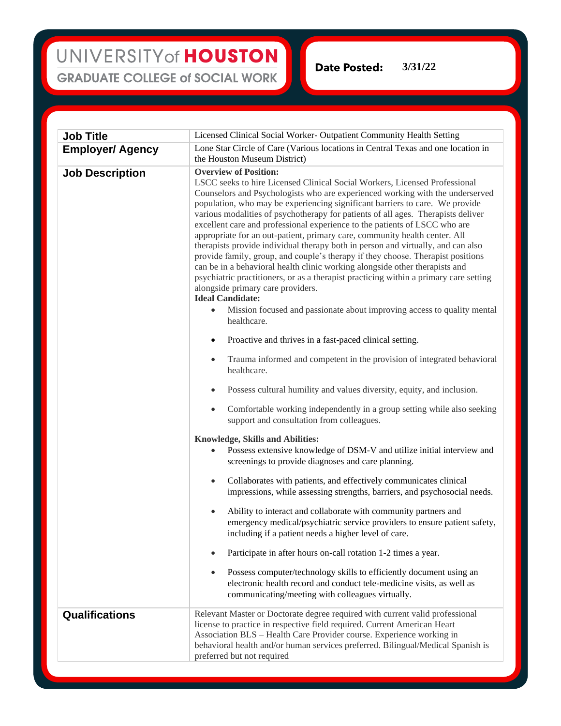## UNIVERSITY of HOUSTON **GRADUATE COLLEGE of SOCIAL WORK**

**Date Posted: 3/31/22**

| <b>Job Title</b>        | Licensed Clinical Social Worker- Outpatient Community Health Setting                                                                                                                                                                                                                                                                                                                                                                                                                                                                                                                                                                                                                                                                                                                                                                                                                                                                                                                                                                                                                                                                                                                                                                                                                                                                                                                                                                                                                                                                                                                                                                                                                                                                                                                                                                                                                                                                                                                                                                                                                                                                                                                                                                                                                     |
|-------------------------|------------------------------------------------------------------------------------------------------------------------------------------------------------------------------------------------------------------------------------------------------------------------------------------------------------------------------------------------------------------------------------------------------------------------------------------------------------------------------------------------------------------------------------------------------------------------------------------------------------------------------------------------------------------------------------------------------------------------------------------------------------------------------------------------------------------------------------------------------------------------------------------------------------------------------------------------------------------------------------------------------------------------------------------------------------------------------------------------------------------------------------------------------------------------------------------------------------------------------------------------------------------------------------------------------------------------------------------------------------------------------------------------------------------------------------------------------------------------------------------------------------------------------------------------------------------------------------------------------------------------------------------------------------------------------------------------------------------------------------------------------------------------------------------------------------------------------------------------------------------------------------------------------------------------------------------------------------------------------------------------------------------------------------------------------------------------------------------------------------------------------------------------------------------------------------------------------------------------------------------------------------------------------------------|
| <b>Employer/ Agency</b> | Lone Star Circle of Care (Various locations in Central Texas and one location in<br>the Houston Museum District)                                                                                                                                                                                                                                                                                                                                                                                                                                                                                                                                                                                                                                                                                                                                                                                                                                                                                                                                                                                                                                                                                                                                                                                                                                                                                                                                                                                                                                                                                                                                                                                                                                                                                                                                                                                                                                                                                                                                                                                                                                                                                                                                                                         |
| <b>Job Description</b>  | <b>Overview of Position:</b><br>LSCC seeks to hire Licensed Clinical Social Workers, Licensed Professional<br>Counselors and Psychologists who are experienced working with the underserved<br>population, who may be experiencing significant barriers to care. We provide<br>various modalities of psychotherapy for patients of all ages. Therapists deliver<br>excellent care and professional experience to the patients of LSCC who are<br>appropriate for an out-patient, primary care, community health center. All<br>therapists provide individual therapy both in person and virtually, and can also<br>provide family, group, and couple's therapy if they choose. Therapist positions<br>can be in a behavioral health clinic working alongside other therapists and<br>psychiatric practitioners, or as a therapist practicing within a primary care setting<br>alongside primary care providers.<br><b>Ideal Candidate:</b><br>Mission focused and passionate about improving access to quality mental<br>$\bullet$<br>healthcare.<br>Proactive and thrives in a fast-paced clinical setting.<br>$\bullet$<br>Trauma informed and competent in the provision of integrated behavioral<br>$\bullet$<br>healthcare.<br>Possess cultural humility and values diversity, equity, and inclusion.<br>Comfortable working independently in a group setting while also seeking<br>$\bullet$<br>support and consultation from colleagues.<br><b>Knowledge, Skills and Abilities:</b><br>Possess extensive knowledge of DSM-V and utilize initial interview and<br>screenings to provide diagnoses and care planning.<br>Collaborates with patients, and effectively communicates clinical<br>$\bullet$<br>impressions, while assessing strengths, barriers, and psychosocial needs.<br>Ability to interact and collaborate with community partners and<br>$\bullet$<br>emergency medical/psychiatric service providers to ensure patient safety,<br>including if a patient needs a higher level of care.<br>Participate in after hours on-call rotation 1-2 times a year.<br>Possess computer/technology skills to efficiently document using an<br>٠<br>electronic health record and conduct tele-medicine visits, as well as<br>communicating/meeting with colleagues virtually. |
| <b>Qualifications</b>   | Relevant Master or Doctorate degree required with current valid professional<br>license to practice in respective field required. Current American Heart<br>Association BLS - Health Care Provider course. Experience working in<br>behavioral health and/or human services preferred. Bilingual/Medical Spanish is                                                                                                                                                                                                                                                                                                                                                                                                                                                                                                                                                                                                                                                                                                                                                                                                                                                                                                                                                                                                                                                                                                                                                                                                                                                                                                                                                                                                                                                                                                                                                                                                                                                                                                                                                                                                                                                                                                                                                                      |